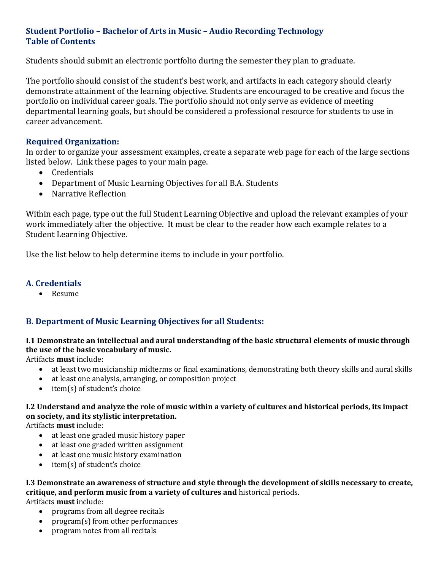# **Student Portfolio – Bachelor of Arts in Music – Audio Recording Technology Table of Contents**

Students should submit an electronic portfolio during the semester they plan to graduate.

The portfolio should consist of the student's best work, and artifacts in each category should clearly demonstrate attainment of the learning objective. Students are encouraged to be creative and focus the portfolio on individual career goals. The portfolio should not only serve as evidence of meeting departmental learning goals, but should be considered a professional resource for students to use in career advancement.

## **Required Organization:**

In order to organize your assessment examples, create a separate web page for each of the large sections listed below. Link these pages to your main page.

- Credentials
- Department of Music Learning Objectives for all B.A. Students
- Narrative Reflection

Within each page, type out the full Student Learning Objective and upload the relevant examples of your work immediately after the objective. It must be clear to the reader how each example relates to a Student Learning Objective.

Use the list below to help determine items to include in your portfolio.

#### **A. Credentials**

• Resume

## **B. Department of Music Learning Objectives for all Students:**

## **I.1 Demonstrate an intellectual and aural understanding of the basic structural elements of music through the use of the basic vocabulary of music.**

Artifacts **must** include:

- at least two musicianship midterms or final examinations, demonstrating both theory skills and aural skills
- at least one analysis, arranging, or composition project
- item(s) of student's choice

# **I.2 Understand and analyze the role of music within a variety of cultures and historical periods, its impact on society, and its stylistic interpretation.**

Artifacts **must** include:

- at least one graded music history paper
- at least one graded written assignment
- at least one music history examination
- item(s) of student's choice

# **I.3 Demonstrate an awareness of structure and style through the development of skills necessary to create, critique, and perform music from a variety of cultures and** historical periods.

Artifacts **must** include:

- programs from all degree recitals
- program(s) from other performances
- program notes from all recitals